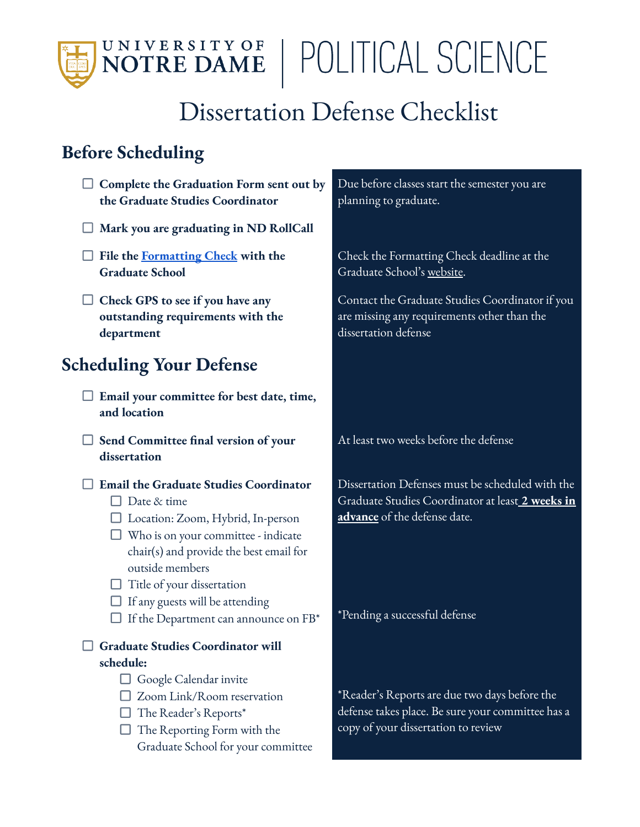## U N I V E R S I T Y O F POLITICAL SCIENCE NOTRE DAME

## Dissertation Defense Checklist

## **Before Scheduling**

**Complete the Graduation Form sent out by the Graduate Studies Coordinator Mark you are graduating in ND RollCall File the [Formatting](https://graduateschool.nd.edu/policies-forms/doctoral-dissertations-masters-theses/formatting-checks/) Check with the Graduate School Check GPS to see if you have any outstanding requirements with the department Scheduling Your Defense Email your committee for best date, time, and location Send Committee final version of your dissertation Email the Graduate Studies Coordinator**  $\Box$  Date & time Location: Zoom, Hybrid, In-person  $\Box$  Who is on your committee - indicate chair(s) and provide the best email for outside members  $\Box$  Title of your dissertation  $\Box$  If any guests will be attending  $\Box$  If the Department can announce on FB\* **Graduate Studies Coordinator will schedule:**  $\Box$  Google Calendar invite □ Zoom Link/Room reservation  $\Box$  The Reader's Reports\*  $\Box$  The Reporting Form with the Graduate School for your committee

Due before classes start the semester you are planning to graduate.

Check the Formatting Check deadline at the Graduate School's [website](https://graduateschool.nd.edu/policies-forms/academic-year-deadlines/).

Contact the Graduate Studies Coordinator if you are missing any requirements other than the dissertation defense

At least two weeks before the defense

Dissertation Defenses must be scheduled with the Graduate Studies Coordinator at least **2 weeks in advance** of the defense date.

\*Pending a successful defense

\*Reader's Reports are due two days before the defense takes place. Be sure your committee has a copy of your dissertation to review